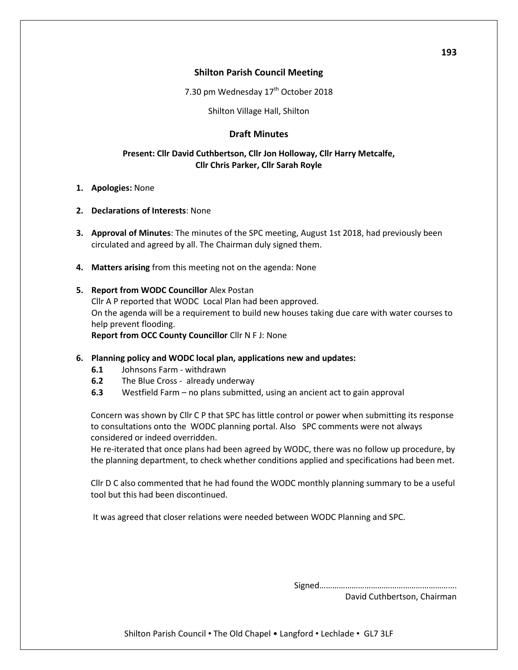# **Shilton Parish Council Meeting**

7.30 pm Wednesday  $17<sup>th</sup>$  October 2018

Shilton Village Hall, Shilton

# **Draft Minutes**

# **Present: Cllr David Cuthbertson, Cllr Jon Holloway, Cllr Harry Metcalfe, Cllr Chris Parker, Cllr Sarah Royle**

- **1. Apologies:** None
- **2. Declarations of Interests**: None
- **3. Approval of Minutes**: The minutes of the SPC meeting, August 1st 2018, had previously been circulated and agreed by all. The Chairman duly signed them.
- **4. Matters arising** from this meeting not on the agenda: None

## **5. Report from WODC Councillor** Alex Postan

Cllr A P reported that WODC Local Plan had been approved. On the agenda will be a requirement to build new houses taking due care with water courses to help prevent flooding.

**Report from OCC County Councillor** Cllr N F J: None

#### **6. Planning policy and WODC local plan, applications new and updates:**

- **6.1** Johnsons Farm withdrawn
- **6.2** The Blue Cross already underway
- **6.3** Westfield Farm no plans submitted, using an ancient act to gain approval

Concern was shown by Cllr C P that SPC has little control or power when submitting its response to consultations onto the WODC planning portal. Also SPC comments were not always considered or indeed overridden.

He re-iterated that once plans had been agreed by WODC, there was no follow up procedure, by the planning department, to check whether conditions applied and specifications had been met.

Cllr D C also commented that he had found the WODC monthly planning summary to be a useful tool but this had been discontinued.

It was agreed that closer relations were needed between WODC Planning and SPC.

Signed……………………………………………………….

David Cuthbertson, Chairman

**193** 

Shilton Parish Council • The Old Chapel • Langford • Lechlade • GL7 3LF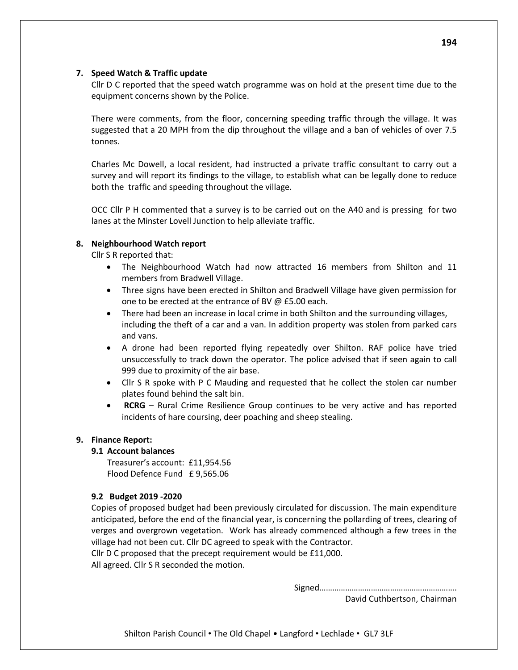## **7. Speed Watch & Traffic update**

Cllr D C reported that the speed watch programme was on hold at the present time due to the equipment concerns shown by the Police.

There were comments, from the floor, concerning speeding traffic through the village. It was suggested that a 20 MPH from the dip throughout the village and a ban of vehicles of over 7.5 tonnes.

Charles Mc Dowell, a local resident, had instructed a private traffic consultant to carry out a survey and will report its findings to the village, to establish what can be legally done to reduce both the traffic and speeding throughout the village.

OCC Cllr P H commented that a survey is to be carried out on the A40 and is pressing for two lanes at the Minster Lovell Junction to help alleviate traffic.

## **8. Neighbourhood Watch report**

Cllr S R reported that:

- The Neighbourhood Watch had now attracted 16 members from Shilton and 11 members from Bradwell Village.
- Three signs have been erected in Shilton and Bradwell Village have given permission for one to be erected at the entrance of BV @ £5.00 each.
- There had been an increase in local crime in both Shilton and the surrounding villages, including the theft of a car and a van. In addition property was stolen from parked cars and vans.
- A drone had been reported flying repeatedly over Shilton. RAF police have tried unsuccessfully to track down the operator. The police advised that if seen again to call 999 due to proximity of the air base.
- Cllr S R spoke with P C Mauding and requested that he collect the stolen car number plates found behind the salt bin.
- **RCRG** Rural Crime Resilience Group continues to be very active and has reported incidents of hare coursing, deer poaching and sheep stealing.

#### **9. Finance Report:**

#### **9.1 Account balances**

Treasurer's account: £11,954.56 Flood Defence Fund £ 9,565.06

#### **9.2 Budget 2019 -2020**

Copies of proposed budget had been previously circulated for discussion. The main expenditure anticipated, before the end of the financial year, is concerning the pollarding of trees, clearing of verges and overgrown vegetation. Work has already commenced although a few trees in the village had not been cut. Cllr DC agreed to speak with the Contractor.

Cllr D C proposed that the precept requirement would be £11,000.

All agreed. Cllr S R seconded the motion.

Signed……………………………………………………….

David Cuthbertson, Chairman